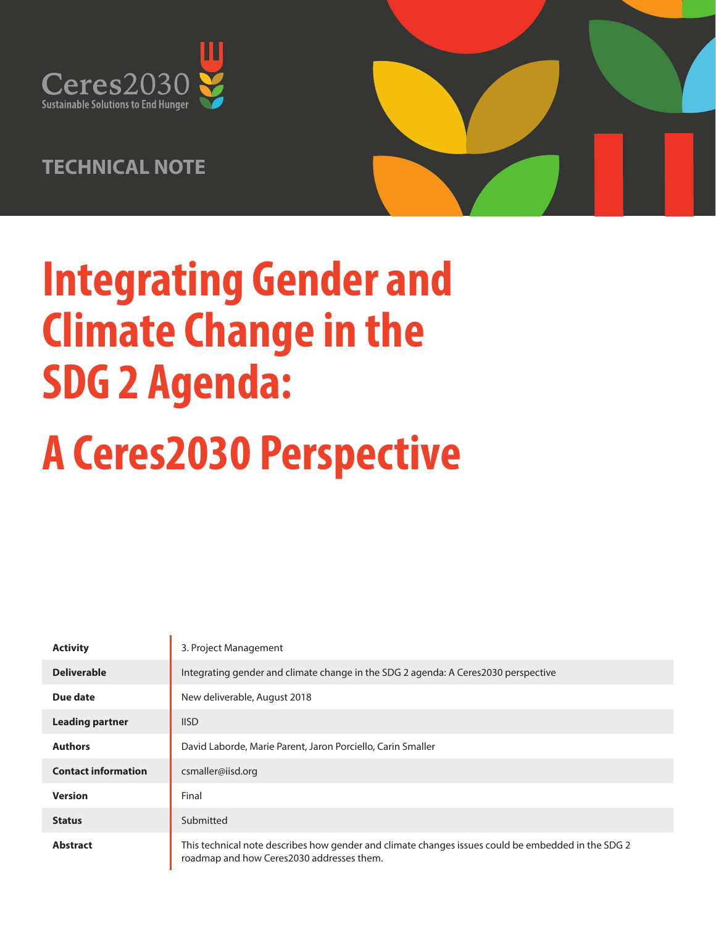

# **TECHNICAL NOTE**



# **Integrating Gender and Climate Change in the SDG 2 Agenda:**

# **A Ceres2030 Perspective**

| <b>Activity</b>            | 3. Project Management                                                                                                                           |  |
|----------------------------|-------------------------------------------------------------------------------------------------------------------------------------------------|--|
| <b>Deliverable</b>         | Integrating gender and climate change in the SDG 2 agenda: A Ceres2030 perspective                                                              |  |
| Due date                   | New deliverable, August 2018                                                                                                                    |  |
| <b>Leading partner</b>     | <b>IISD</b>                                                                                                                                     |  |
| <b>Authors</b>             | David Laborde, Marie Parent, Jaron Porciello, Carin Smaller                                                                                     |  |
| <b>Contact information</b> | csmaller@iisd.org                                                                                                                               |  |
| <b>Version</b>             | Final                                                                                                                                           |  |
| <b>Status</b>              | Submitted                                                                                                                                       |  |
| <b>Abstract</b>            | This technical note describes how gender and climate changes issues could be embedded in the SDG 2<br>roadmap and how Ceres2030 addresses them. |  |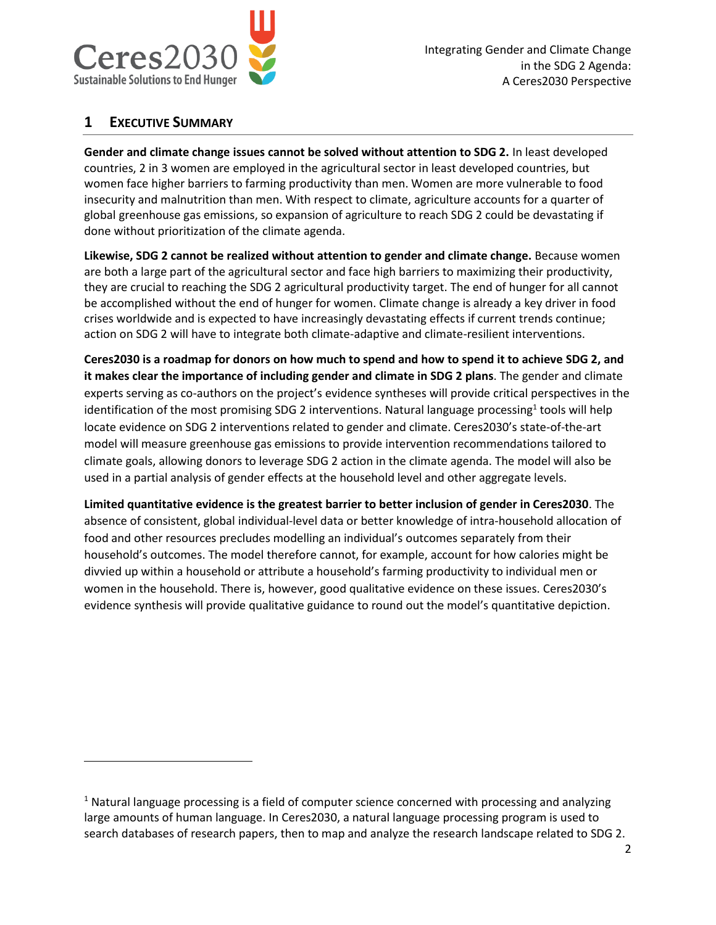

#### **1 EXECUTIVE SUMMARY**

l

**Gender and climate change issues cannot be solved without attention to SDG 2.** In least developed countries, 2 in 3 women are employed in the agricultural sector in least developed countries, but women face higher barriers to farming productivity than men. Women are more vulnerable to food insecurity and malnutrition than men. With respect to climate, agriculture accounts for a quarter of global greenhouse gas emissions, so expansion of agriculture to reach SDG 2 could be devastating if done without prioritization of the climate agenda.

**Likewise, SDG 2 cannot be realized without attention to gender and climate change.** Because women are both a large part of the agricultural sector and face high barriers to maximizing their productivity, they are crucial to reaching the SDG 2 agricultural productivity target. The end of hunger for all cannot be accomplished without the end of hunger for women. Climate change is already a key driver in food crises worldwide and is expected to have increasingly devastating effects if current trends continue; action on SDG 2 will have to integrate both climate-adaptive and climate-resilient interventions.

**Ceres2030 is a roadmap for donors on how much to spend and how to spend it to achieve SDG 2, and it makes clear the importance of including gender and climate in SDG 2 plans**. The gender and climate experts serving as co-authors on the project's evidence syntheses will provide critical perspectives in the identification of the most promising SDG 2 interventions. Natural language processing<sup>1</sup> tools will help locate evidence on SDG 2 interventions related to gender and climate. Ceres2030's state-of-the-art model will measure greenhouse gas emissions to provide intervention recommendations tailored to climate goals, allowing donors to leverage SDG 2 action in the climate agenda. The model will also be used in a partial analysis of gender effects at the household level and other aggregate levels.

**Limited quantitative evidence is the greatest barrier to better inclusion of gender in Ceres2030**. The absence of consistent, global individual-level data or better knowledge of intra-household allocation of food and other resources precludes modelling an individual's outcomes separately from their household's outcomes. The model therefore cannot, for example, account for how calories might be divvied up within a household or attribute a household's farming productivity to individual men or women in the household. There is, however, good qualitative evidence on these issues. Ceres2030's evidence synthesis will provide qualitative guidance to round out the model's quantitative depiction.

 $<sup>1</sup>$  Natural language processing is a field of computer science concerned with processing and analyzing</sup> large amounts of human language. In Ceres2030, a natural language processing program is used to search databases of research papers, then to map and analyze the research landscape related to SDG 2.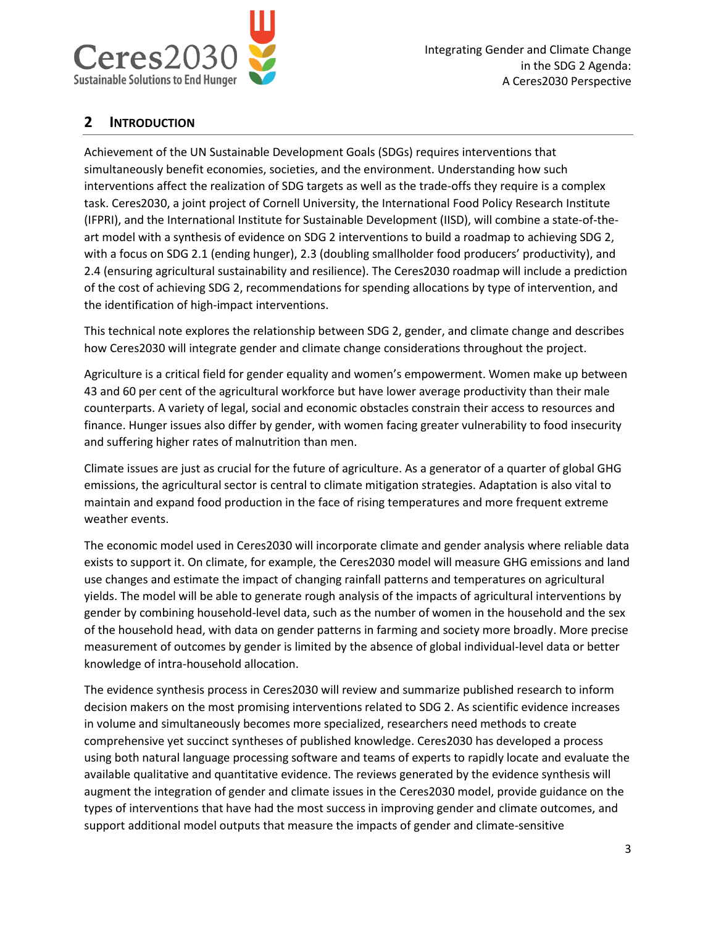

#### **2 INTRODUCTION**

Achievement of the UN Sustainable Development Goals (SDGs) requires interventions that simultaneously benefit economies, societies, and the environment. Understanding how such interventions affect the realization of SDG targets as well as the trade-offs they require is a complex task. Ceres2030, a joint project of Cornell University, the International Food Policy Research Institute (IFPRI), and the International Institute for Sustainable Development (IISD), will combine a state-of-theart model with a synthesis of evidence on SDG 2 interventions to build a roadmap to achieving SDG 2, with a focus on SDG 2.1 (ending hunger), 2.3 (doubling smallholder food producers' productivity), and 2.4 (ensuring agricultural sustainability and resilience). The Ceres2030 roadmap will include a prediction of the cost of achieving SDG 2, recommendations for spending allocations by type of intervention, and the identification of high-impact interventions.

This technical note explores the relationship between SDG 2, gender, and climate change and describes how Ceres2030 will integrate gender and climate change considerations throughout the project.

Agriculture is a critical field for gender equality and women's empowerment. Women make up between 43 and 60 per cent of the agricultural workforce but have lower average productivity than their male counterparts. A variety of legal, social and economic obstacles constrain their access to resources and finance. Hunger issues also differ by gender, with women facing greater vulnerability to food insecurity and suffering higher rates of malnutrition than men.

Climate issues are just as crucial for the future of agriculture. As a generator of a quarter of global GHG emissions, the agricultural sector is central to climate mitigation strategies. Adaptation is also vital to maintain and expand food production in the face of rising temperatures and more frequent extreme weather events.

The economic model used in Ceres2030 will incorporate climate and gender analysis where reliable data exists to support it. On climate, for example, the Ceres2030 model will measure GHG emissions and land use changes and estimate the impact of changing rainfall patterns and temperatures on agricultural yields. The model will be able to generate rough analysis of the impacts of agricultural interventions by gender by combining household-level data, such as the number of women in the household and the sex of the household head, with data on gender patterns in farming and society more broadly. More precise measurement of outcomes by gender is limited by the absence of global individual-level data or better knowledge of intra-household allocation.

The evidence synthesis process in Ceres2030 will review and summarize published research to inform decision makers on the most promising interventions related to SDG 2. As scientific evidence increases in volume and simultaneously becomes more specialized, researchers need methods to create comprehensive yet succinct syntheses of published knowledge. Ceres2030 has developed a process using both natural language processing software and teams of experts to rapidly locate and evaluate the available qualitative and quantitative evidence. The reviews generated by the evidence synthesis will augment the integration of gender and climate issues in the Ceres2030 model, provide guidance on the types of interventions that have had the most success in improving gender and climate outcomes, and support additional model outputs that measure the impacts of gender and climate-sensitive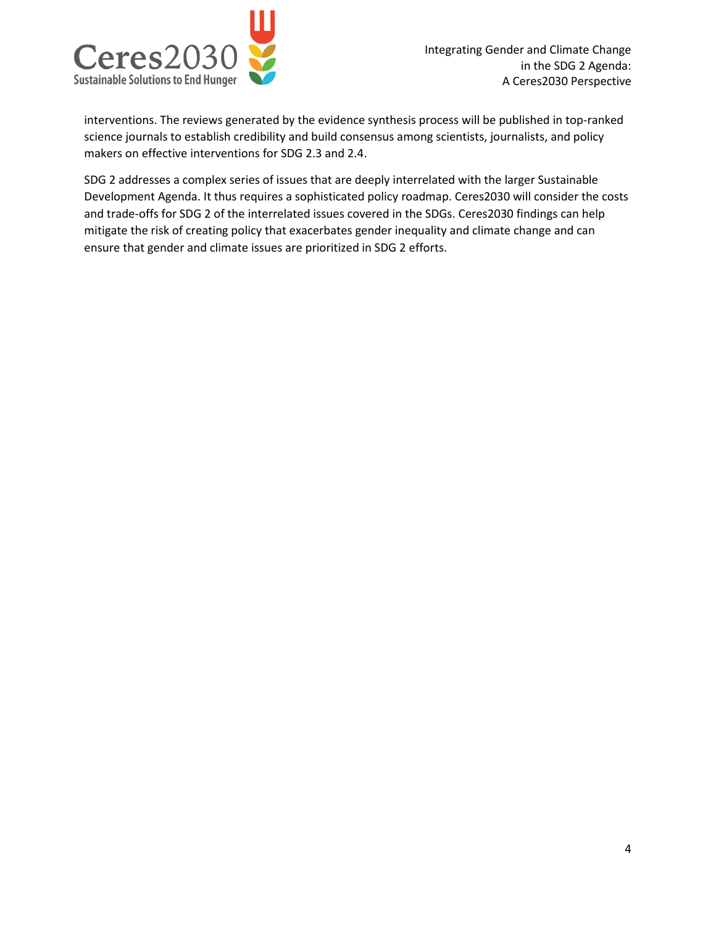

interventions. The reviews generated by the evidence synthesis process will be published in top-ranked science journals to establish credibility and build consensus among scientists, journalists, and policy makers on effective interventions for SDG 2.3 and 2.4.

SDG 2 addresses a complex series of issues that are deeply interrelated with the larger Sustainable Development Agenda. It thus requires a sophisticated policy roadmap. Ceres2030 will consider the costs and trade-offs for SDG 2 of the interrelated issues covered in the SDGs. Ceres2030 findings can help mitigate the risk of creating policy that exacerbates gender inequality and climate change and can ensure that gender and climate issues are prioritized in SDG 2 efforts.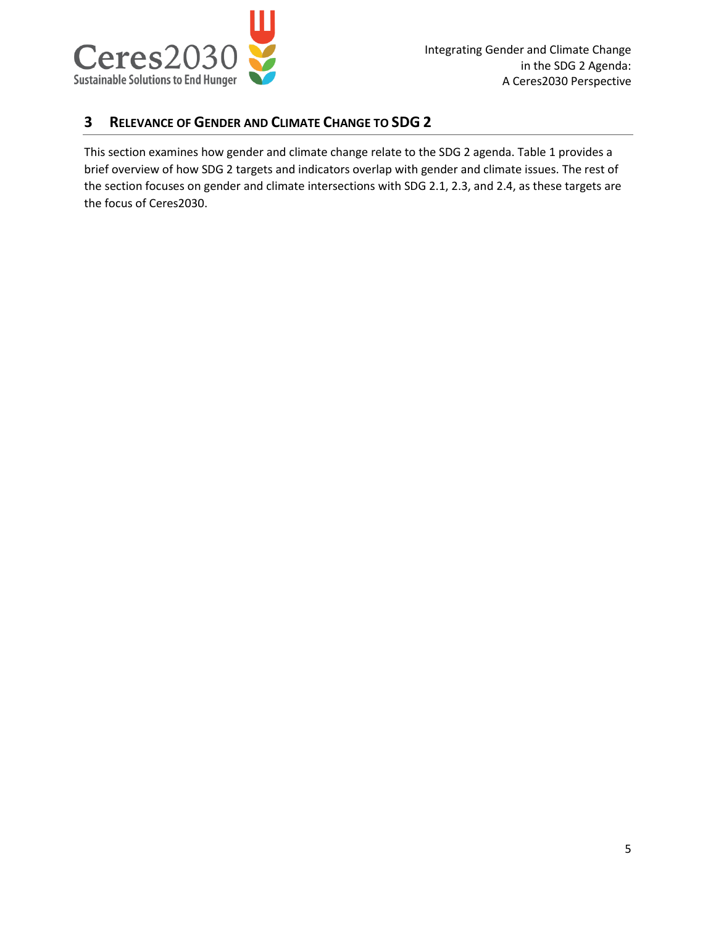

#### **3 RELEVANCE OF GENDER AND CLIMATE CHANGE TO SDG 2**

This section examines how gender and climate change relate to the SDG 2 agenda. [Table 1](#page-5-0) provides a brief overview of how SDG 2 targets and indicators overlap with gender and climate issues. The rest of the section focuses on gender and climate intersections with SDG 2.1, 2.3, and 2.4, as these targets are the focus of Ceres2030.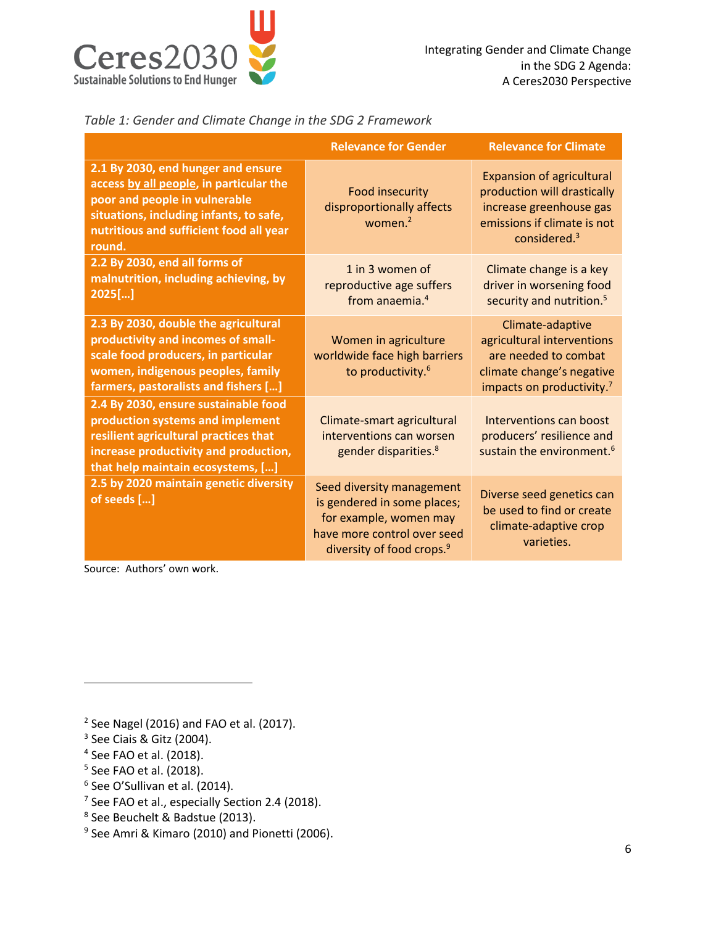

#### <span id="page-5-0"></span>*Table 1: Gender and Climate Change in the SDG 2 Framework*

|                                                                                                                                                                                                                | <b>Relevance for Gender</b>                                                                                                                                | <b>Relevance for Climate</b>                                                                                                                 |
|----------------------------------------------------------------------------------------------------------------------------------------------------------------------------------------------------------------|------------------------------------------------------------------------------------------------------------------------------------------------------------|----------------------------------------------------------------------------------------------------------------------------------------------|
| 2.1 By 2030, end hunger and ensure<br>access by all people, in particular the<br>poor and people in vulnerable<br>situations, including infants, to safe,<br>nutritious and sufficient food all year<br>round. | <b>Food insecurity</b><br>disproportionally affects<br>women. $2$                                                                                          | <b>Expansion of agricultural</b><br>production will drastically<br>increase greenhouse gas<br>emissions if climate is not<br>considered. $3$ |
| 2.2 By 2030, end all forms of<br>malnutrition, including achieving, by<br>$2025$ []                                                                                                                            | 1 in 3 women of<br>reproductive age suffers<br>from anaemia. <sup>4</sup>                                                                                  | Climate change is a key<br>driver in worsening food<br>security and nutrition. <sup>5</sup>                                                  |
| 2.3 By 2030, double the agricultural<br>productivity and incomes of small-<br>scale food producers, in particular<br>women, indigenous peoples, family<br>farmers, pastoralists and fishers []                 | Women in agriculture<br>worldwide face high barriers<br>to productivity. <sup>6</sup>                                                                      | Climate-adaptive<br>agricultural interventions<br>are needed to combat<br>climate change's negative<br>impacts on productivity. <sup>7</sup> |
| 2.4 By 2030, ensure sustainable food<br>production systems and implement<br>resilient agricultural practices that<br>increase productivity and production,<br>that help maintain ecosystems, []                | Climate-smart agricultural<br>interventions can worsen<br>gender disparities. <sup>8</sup>                                                                 | Interventions can boost<br>producers' resilience and<br>sustain the environment. <sup>6</sup>                                                |
| 2.5 by 2020 maintain genetic diversity<br>of seeds []                                                                                                                                                          | Seed diversity management<br>is gendered in some places;<br>for example, women may<br>have more control over seed<br>diversity of food crops. <sup>9</sup> | Diverse seed genetics can<br>be used to find or create<br>climate-adaptive crop<br>varieties.                                                |

Source: Authors' own work.

 $2$  See Nagel (2016) and FAO et al. (2017).

<sup>3</sup> See Ciais & Gitz (2004).

 $\overline{\phantom{a}}$ 

- 4 See FAO et al. (2018).
- <sup>5</sup> See FAO et al. (2018).
- 6 See O'Sullivan et al. (2014).
- $7$  See FAO et al., especially Section 2.4 (2018).
- 8 See Beuchelt & Badstue (2013).
- 9 See Amri & Kimaro (2010) and Pionetti (2006).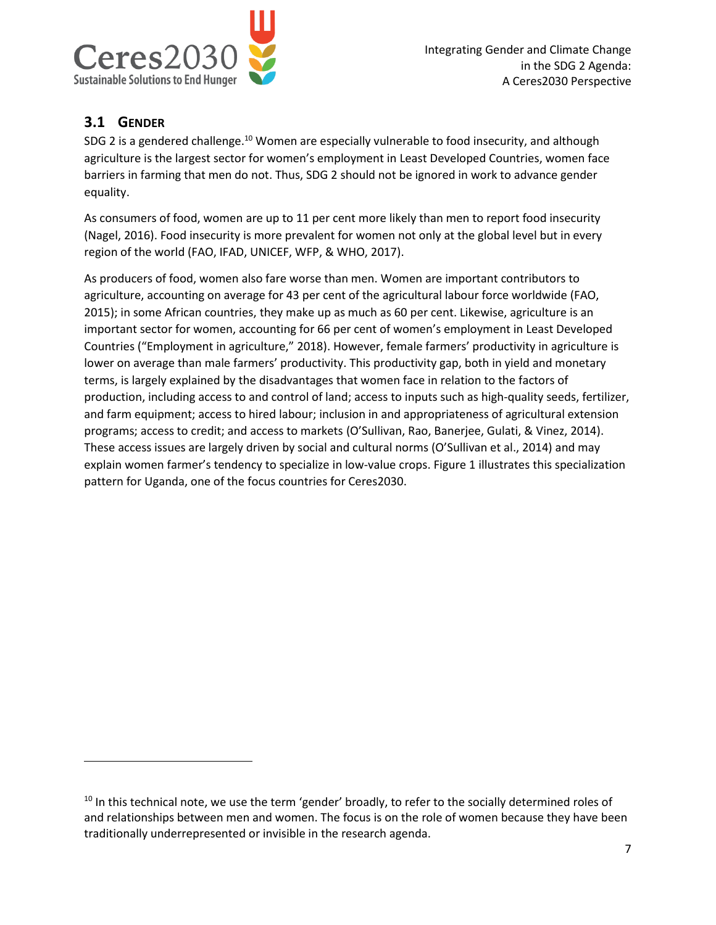

# **3.1 GENDER**

l

SDG 2 is a gendered challenge.<sup>10</sup> Women are especially vulnerable to food insecurity, and although agriculture is the largest sector for women's employment in Least Developed Countries, women face barriers in farming that men do not. Thus, SDG 2 should not be ignored in work to advance gender equality.

As consumers of food, women are up to 11 per cent more likely than men to report food insecurity (Nagel, 2016). Food insecurity is more prevalent for women not only at the global level but in every region of the world (FAO, IFAD, UNICEF, WFP, & WHO, 2017).

As producers of food, women also fare worse than men. Women are important contributors to agriculture, accounting on average for 43 per cent of the agricultural labour force worldwide (FAO, 2015); in some African countries, they make up as much as 60 per cent. Likewise, agriculture is an important sector for women, accounting for 66 per cent of women's employment in Least Developed Countries ("Employment in agriculture," 2018). However, female farmers' productivity in agriculture is lower on average than male farmers' productivity. This productivity gap, both in yield and monetary terms, is largely explained by the disadvantages that women face in relation to the factors of production, including access to and control of land; access to inputs such as high-quality seeds, fertilizer, and farm equipment; access to hired labour; inclusion in and appropriateness of agricultural extension programs; access to credit; and access to markets (O'Sullivan, Rao, Banerjee, Gulati, & Vinez, 2014). These access issues are largely driven by social and cultural norms (O'Sullivan et al., 2014) and may explain women farmer's tendency to specialize in low-value crops. [Figure 1](#page-7-0) illustrates this specialization pattern for Uganda, one of the focus countries for Ceres2030.

 $10$  In this technical note, we use the term 'gender' broadly, to refer to the socially determined roles of and relationships between men and women. The focus is on the role of women because they have been traditionally underrepresented or invisible in the research agenda.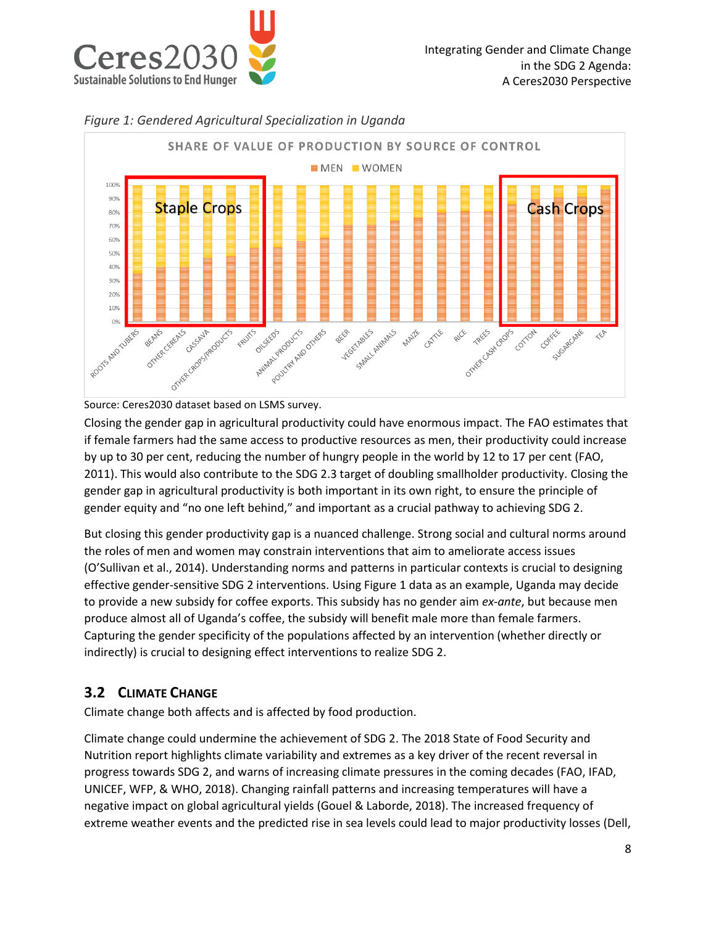



<span id="page-7-0"></span>

Closing the gender gap in agricultural productivity could have enormous impact. The FAO estimates that if female farmers had the same access to productive resources as men, their productivity could increase by up to 30 per cent, reducing the number of hungry people in the world by 12 to 17 per cent (FAO, 2011). This would also contribute to the SDG 2.3 target of doubling smallholder productivity. Closing the gender gap in agricultural productivity is both important in its own right, to ensure the principle of gender equity and "no one left behind," and important as a crucial pathway to achieving SDG 2.

But closing this gender productivity gap is a nuanced challenge. Strong social and cultural norms around the roles of men and women may constrain interventions that aim to ameliorate access issues (O'Sullivan et al., 2014). Understanding norms and patterns in particular contexts is crucial to designing effective gender-sensitive SDG 2 interventions. Using Figure 1 data as an example, Uganda may decide to provide a new subsidy for coffee exports. This subsidy has no gender aim *ex-ante*, but because men produce almost all of Uganda's coffee, the subsidy will benefit male more than female farmers. Capturing the gender specificity of the populations affected by an intervention (whether directly or indirectly) is crucial to designing effect interventions to realize SDG 2.

# **3.2 CLIMATE CHANGE**

Climate change both affects and is affected by food production.

Climate change could undermine the achievement of SDG 2. The 2018 State of Food Security and Nutrition report highlights climate variability and extremes as a key driver of the recent reversal in progress towards SDG 2, and warns of increasing climate pressures in the coming decades (FAO, IFAD, UNICEF, WFP, & WHO, 2018). Changing rainfall patterns and increasing temperatures will have a negative impact on global agricultural yields (Gouel & Laborde, 2018). The increased frequency of extreme weather events and the predicted rise in sea levels could lead to major productivity losses (Dell,

Source: Ceres2030 dataset based on LSMS survey.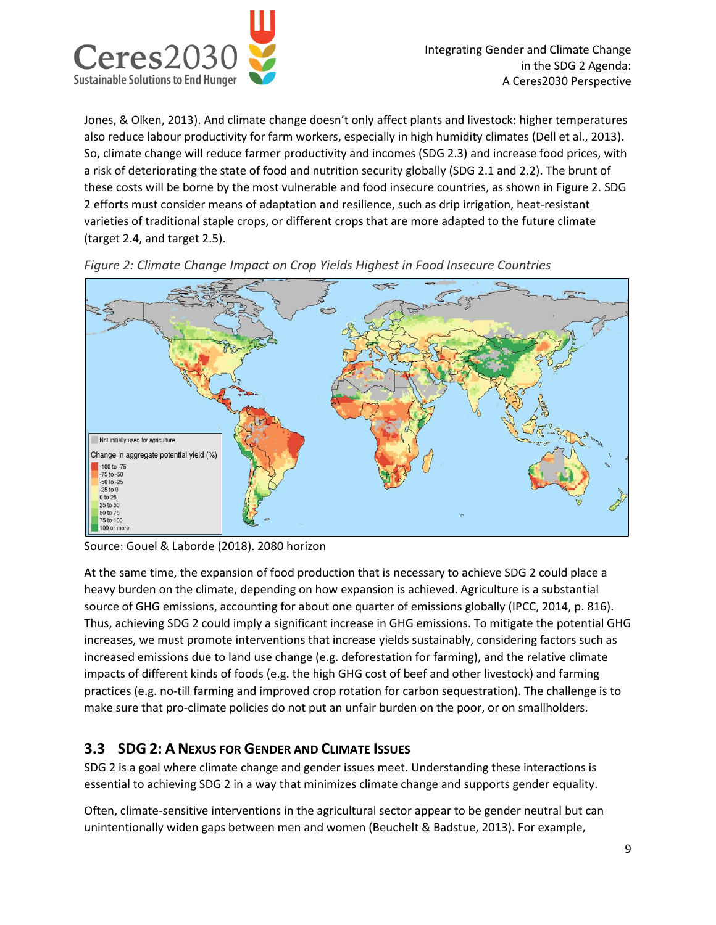

Jones, & Olken, 2013). And climate change doesn't only affect plants and livestock: higher temperatures also reduce labour productivity for farm workers, especially in high humidity climates (Dell et al., 2013). So, climate change will reduce farmer productivity and incomes (SDG 2.3) and increase food prices, with a risk of deteriorating the state of food and nutrition security globally (SDG 2.1 and 2.2). The brunt of these costs will be borne by the most vulnerable and food insecure countries, as shown in Figure 2. SDG 2 efforts must consider means of adaptation and resilience, such as drip irrigation, heat-resistant varieties of traditional staple crops, or different crops that are more adapted to the future climate (target 2.4, and target 2.5).



*Figure 2: Climate Change Impact on Crop Yields Highest in Food Insecure Countries*

Source: Gouel & Laborde (2018). 2080 horizon

At the same time, the expansion of food production that is necessary to achieve SDG 2 could place a heavy burden on the climate, depending on how expansion is achieved. Agriculture is a substantial source of GHG emissions, accounting for about one quarter of emissions globally (IPCC, 2014, p. 816). Thus, achieving SDG 2 could imply a significant increase in GHG emissions. To mitigate the potential GHG increases, we must promote interventions that increase yields sustainably, considering factors such as increased emissions due to land use change (e.g. deforestation for farming), and the relative climate impacts of different kinds of foods (e.g. the high GHG cost of beef and other livestock) and farming practices (e.g. no-till farming and improved crop rotation for carbon sequestration). The challenge is to make sure that pro-climate policies do not put an unfair burden on the poor, or on smallholders.

# **3.3 SDG 2: A NEXUS FOR GENDER AND CLIMATE ISSUES**

SDG 2 is a goal where climate change and gender issues meet. Understanding these interactions is essential to achieving SDG 2 in a way that minimizes climate change and supports gender equality.

Often, climate-sensitive interventions in the agricultural sector appear to be gender neutral but can unintentionally widen gaps between men and women (Beuchelt & Badstue, 2013). For example,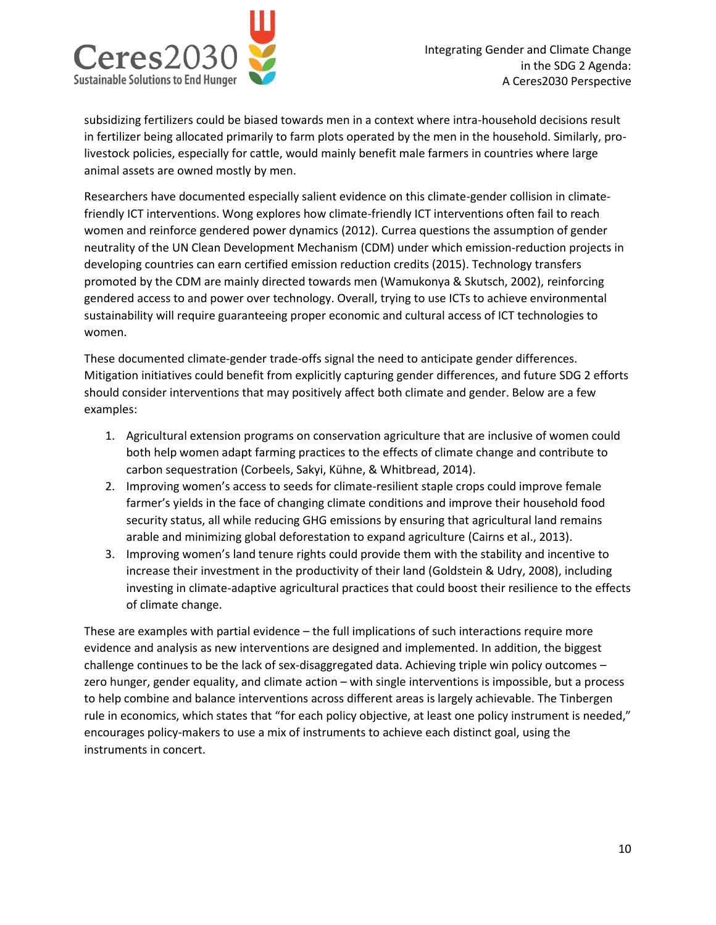

subsidizing fertilizers could be biased towards men in a context where intra-household decisions result in fertilizer being allocated primarily to farm plots operated by the men in the household. Similarly, prolivestock policies, especially for cattle, would mainly benefit male farmers in countries where large animal assets are owned mostly by men.

Researchers have documented especially salient evidence on this climate-gender collision in climatefriendly ICT interventions. Wong explores how climate-friendly ICT interventions often fail to reach women and reinforce gendered power dynamics (2012). Currea questions the assumption of gender neutrality of the UN Clean Development Mechanism (CDM) under which emission-reduction projects in developing countries can earn certified emission reduction credits (2015). Technology transfers promoted by the CDM are mainly directed towards men (Wamukonya & Skutsch, 2002), reinforcing gendered access to and power over technology. Overall, trying to use ICTs to achieve environmental sustainability will require guaranteeing proper economic and cultural access of ICT technologies to women.

These documented climate-gender trade-offs signal the need to anticipate gender differences. Mitigation initiatives could benefit from explicitly capturing gender differences, and future SDG 2 efforts should consider interventions that may positively affect both climate and gender. Below are a few examples:

- 1. Agricultural extension programs on conservation agriculture that are inclusive of women could both help women adapt farming practices to the effects of climate change and contribute to carbon sequestration (Corbeels, Sakyi, Kühne, & Whitbread, 2014).
- 2. Improving women's access to seeds for climate-resilient staple crops could improve female farmer's yields in the face of changing climate conditions and improve their household food security status, all while reducing GHG emissions by ensuring that agricultural land remains arable and minimizing global deforestation to expand agriculture (Cairns et al., 2013).
- 3. Improving women's land tenure rights could provide them with the stability and incentive to increase their investment in the productivity of their land (Goldstein & Udry, 2008), including investing in climate-adaptive agricultural practices that could boost their resilience to the effects of climate change.

These are examples with partial evidence – the full implications of such interactions require more evidence and analysis as new interventions are designed and implemented. In addition, the biggest challenge continues to be the lack of sex-disaggregated data. Achieving triple win policy outcomes – zero hunger, gender equality, and climate action – with single interventions is impossible, but a process to help combine and balance interventions across different areas is largely achievable. The Tinbergen rule in economics, which states that "for each policy objective, at least one policy instrument is needed," encourages policy-makers to use a mix of instruments to achieve each distinct goal, using the instruments in concert.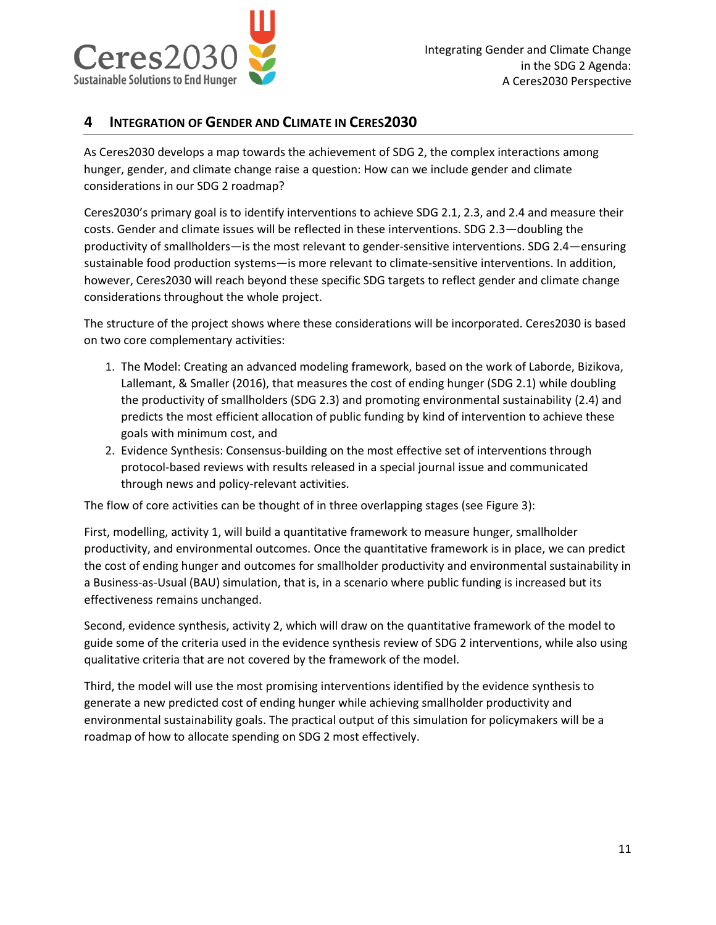

#### **4 INTEGRATION OF GENDER AND CLIMATE IN CERES2030**

As Ceres2030 develops a map towards the achievement of SDG 2, the complex interactions among hunger, gender, and climate change raise a question: How can we include gender and climate considerations in our SDG 2 roadmap?

Ceres2030's primary goal is to identify interventions to achieve SDG 2.1, 2.3, and 2.4 and measure their costs. Gender and climate issues will be reflected in these interventions. SDG 2.3—doubling the productivity of smallholders—is the most relevant to gender-sensitive interventions. SDG 2.4—ensuring sustainable food production systems—is more relevant to climate-sensitive interventions. In addition, however, Ceres2030 will reach beyond these specific SDG targets to reflect gender and climate change considerations throughout the whole project.

The structure of the project shows where these considerations will be incorporated. Ceres2030 is based on two core complementary activities:

- 1. The Model: Creating an advanced modeling framework, based on the work of Laborde, Bizikova, Lallemant, & Smaller (2016), that measures the cost of ending hunger (SDG 2.1) while doubling the productivity of smallholders (SDG 2.3) and promoting environmental sustainability (2.4) and predicts the most efficient allocation of public funding by kind of intervention to achieve these goals with minimum cost, and
- 2. Evidence Synthesis: Consensus-building on the most effective set of interventions through protocol-based reviews with results released in a special journal issue and communicated through news and policy-relevant activities.

The flow of core activities can be thought of in three overlapping stages (see Figure 3):

First, modelling, activity 1, will build a quantitative framework to measure hunger, smallholder productivity, and environmental outcomes. Once the quantitative framework is in place, we can predict the cost of ending hunger and outcomes for smallholder productivity and environmental sustainability in a Business-as-Usual (BAU) simulation, that is, in a scenario where public funding is increased but its effectiveness remains unchanged.

Second, evidence synthesis, activity 2, which will draw on the quantitative framework of the model to guide some of the criteria used in the evidence synthesis review of SDG 2 interventions, while also using qualitative criteria that are not covered by the framework of the model.

Third, the model will use the most promising interventions identified by the evidence synthesis to generate a new predicted cost of ending hunger while achieving smallholder productivity and environmental sustainability goals. The practical output of this simulation for policymakers will be a roadmap of how to allocate spending on SDG 2 most effectively.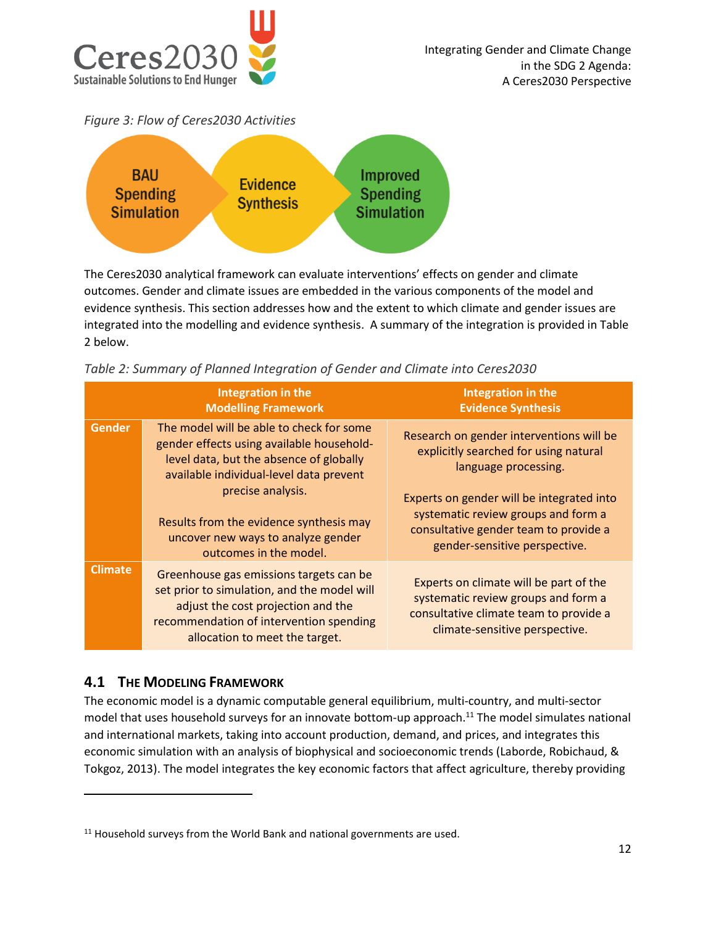

*Figure 3: Flow of Ceres2030 Activities*



The Ceres2030 analytical framework can evaluate interventions' effects on gender and climate outcomes. Gender and climate issues are embedded in the various components of the model and evidence synthesis. This section addresses how and the extent to which climate and gender issues are integrated into the modelling and evidence synthesis. A summary of the integration is provided in Table 2 below.

|                | Integration in the<br><b>Modelling Framework</b>                                                                                                                                                          | Integration in the<br><b>Evidence Synthesis</b>                                                                                                            |
|----------------|-----------------------------------------------------------------------------------------------------------------------------------------------------------------------------------------------------------|------------------------------------------------------------------------------------------------------------------------------------------------------------|
| <b>Gender</b>  | The model will be able to check for some<br>gender effects using available household-<br>level data, but the absence of globally<br>available individual-level data prevent<br>precise analysis.          | Research on gender interventions will be<br>explicitly searched for using natural<br>language processing.                                                  |
|                | Results from the evidence synthesis may<br>uncover new ways to analyze gender<br>outcomes in the model.                                                                                                   | Experts on gender will be integrated into<br>systematic review groups and form a<br>consultative gender team to provide a<br>gender-sensitive perspective. |
| <b>Climate</b> | Greenhouse gas emissions targets can be<br>set prior to simulation, and the model will<br>adjust the cost projection and the<br>recommendation of intervention spending<br>allocation to meet the target. | Experts on climate will be part of the<br>systematic review groups and form a<br>consultative climate team to provide a<br>climate-sensitive perspective.  |

*Table 2: Summary of Planned Integration of Gender and Climate into Ceres2030*

# **4.1 THE MODELING FRAMEWORK**

 $\overline{a}$ 

The economic model is a dynamic computable general equilibrium, multi-country, and multi-sector model that uses household surveys for an innovate bottom-up approach.<sup>11</sup> The model simulates national and international markets, taking into account production, demand, and prices, and integrates this economic simulation with an analysis of biophysical and socioeconomic trends (Laborde, Robichaud, & Tokgoz, 2013). The model integrates the key economic factors that affect agriculture, thereby providing

 $11$  Household surveys from the World Bank and national governments are used.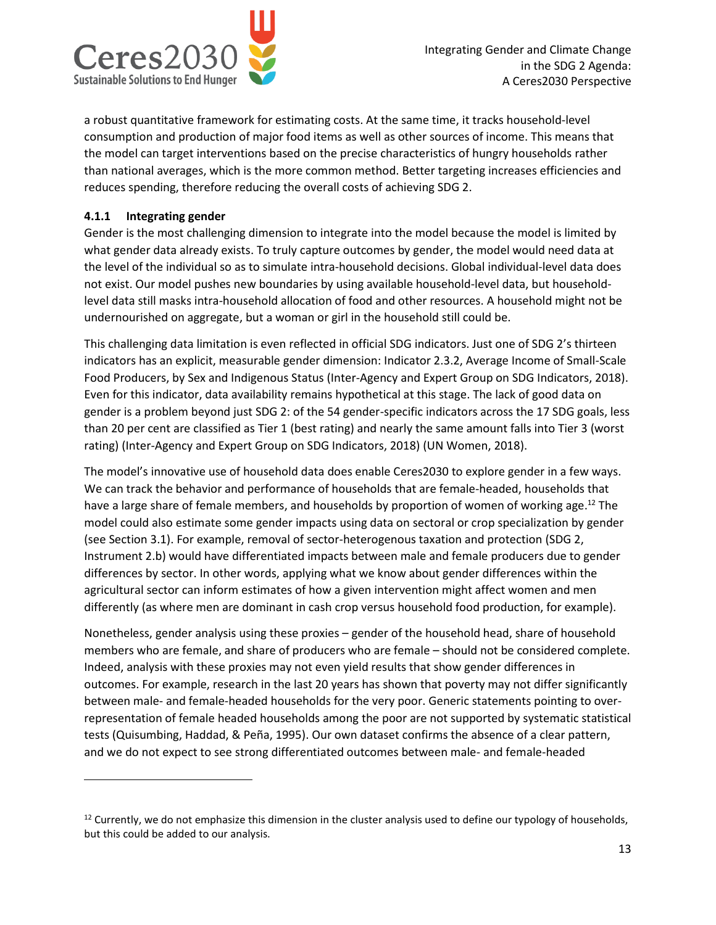

a robust quantitative framework for estimating costs. At the same time, it tracks household-level consumption and production of major food items as well as other sources of income. This means that the model can target interventions based on the precise characteristics of hungry households rather than national averages, which is the more common method. Better targeting increases efficiencies and reduces spending, therefore reducing the overall costs of achieving SDG 2.

#### **4.1.1 Integrating gender**

 $\overline{\phantom{a}}$ 

Gender is the most challenging dimension to integrate into the model because the model is limited by what gender data already exists. To truly capture outcomes by gender, the model would need data at the level of the individual so as to simulate intra-household decisions. Global individual-level data does not exist. Our model pushes new boundaries by using available household-level data, but householdlevel data still masks intra-household allocation of food and other resources. A household might not be undernourished on aggregate, but a woman or girl in the household still could be.

This challenging data limitation is even reflected in official SDG indicators. Just one of SDG 2's thirteen indicators has an explicit, measurable gender dimension: Indicator 2.3.2, Average Income of Small-Scale Food Producers, by Sex and Indigenous Status (Inter-Agency and Expert Group on SDG Indicators, 2018). Even for this indicator, data availability remains hypothetical at this stage. The lack of good data on gender is a problem beyond just SDG 2: of the 54 gender-specific indicators across the 17 SDG goals, less than 20 per cent are classified as Tier 1 (best rating) and nearly the same amount falls into Tier 3 (worst rating) (Inter-Agency and Expert Group on SDG Indicators, 2018) (UN Women, 2018).

The model's innovative use of household data does enable Ceres2030 to explore gender in a few ways. We can track the behavior and performance of households that are female-headed, households that have a large share of female members, and households by proportion of women of working age.<sup>12</sup> The model could also estimate some gender impacts using data on sectoral or crop specialization by gender (see Section 3.1). For example, removal of sector-heterogenous taxation and protection (SDG 2, Instrument 2.b) would have differentiated impacts between male and female producers due to gender differences by sector. In other words, applying what we know about gender differences within the agricultural sector can inform estimates of how a given intervention might affect women and men differently (as where men are dominant in cash crop versus household food production, for example).

Nonetheless, gender analysis using these proxies – gender of the household head, share of household members who are female, and share of producers who are female – should not be considered complete. Indeed, analysis with these proxies may not even yield results that show gender differences in outcomes. For example, research in the last 20 years has shown that poverty may not differ significantly between male- and female-headed households for the very poor. Generic statements pointing to overrepresentation of female headed households among the poor are not supported by systematic statistical tests (Quisumbing, Haddad, & Peña, 1995). Our own dataset confirms the absence of a clear pattern, and we do not expect to see strong differentiated outcomes between male- and female-headed

<sup>&</sup>lt;sup>12</sup> Currently, we do not emphasize this dimension in the cluster analysis used to define our typology of households, but this could be added to our analysis.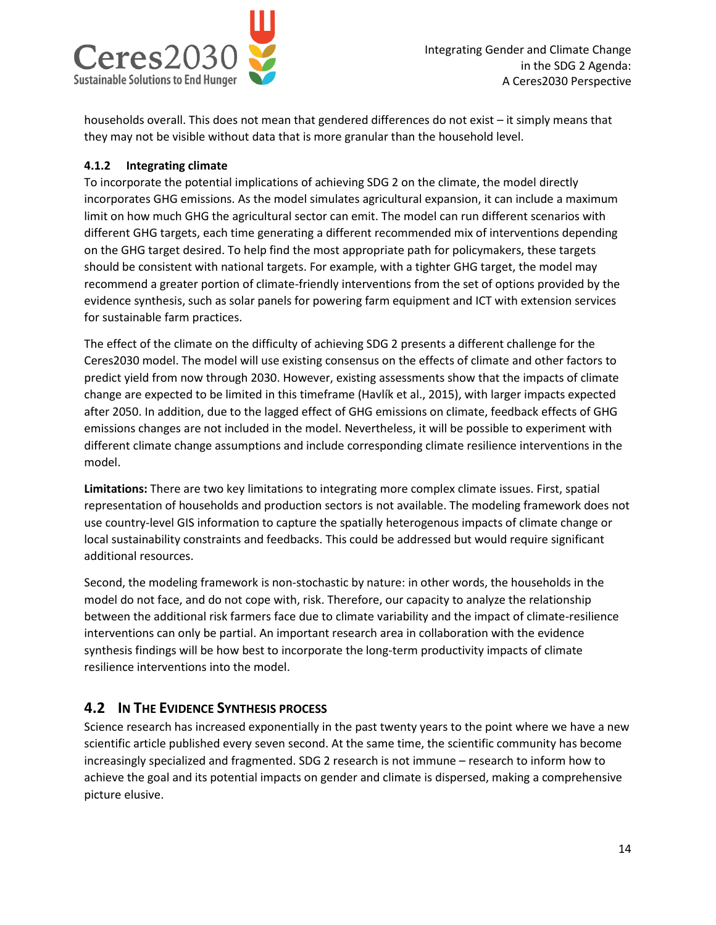

households overall. This does not mean that gendered differences do not exist – it simply means that they may not be visible without data that is more granular than the household level.

#### **4.1.2 Integrating climate**

To incorporate the potential implications of achieving SDG 2 on the climate, the model directly incorporates GHG emissions. As the model simulates agricultural expansion, it can include a maximum limit on how much GHG the agricultural sector can emit. The model can run different scenarios with different GHG targets, each time generating a different recommended mix of interventions depending on the GHG target desired. To help find the most appropriate path for policymakers, these targets should be consistent with national targets. For example, with a tighter GHG target, the model may recommend a greater portion of climate-friendly interventions from the set of options provided by the evidence synthesis, such as solar panels for powering farm equipment and ICT with extension services for sustainable farm practices.

The effect of the climate on the difficulty of achieving SDG 2 presents a different challenge for the Ceres2030 model. The model will use existing consensus on the effects of climate and other factors to predict yield from now through 2030. However, existing assessments show that the impacts of climate change are expected to be limited in this timeframe (Havlík et al., 2015), with larger impacts expected after 2050. In addition, due to the lagged effect of GHG emissions on climate, feedback effects of GHG emissions changes are not included in the model. Nevertheless, it will be possible to experiment with different climate change assumptions and include corresponding climate resilience interventions in the model.

**Limitations:** There are two key limitations to integrating more complex climate issues. First, spatial representation of households and production sectors is not available. The modeling framework does not use country-level GIS information to capture the spatially heterogenous impacts of climate change or local sustainability constraints and feedbacks. This could be addressed but would require significant additional resources.

Second, the modeling framework is non-stochastic by nature: in other words, the households in the model do not face, and do not cope with, risk. Therefore, our capacity to analyze the relationship between the additional risk farmers face due to climate variability and the impact of climate-resilience interventions can only be partial. An important research area in collaboration with the evidence synthesis findings will be how best to incorporate the long-term productivity impacts of climate resilience interventions into the model.

# **4.2 IN THE EVIDENCE SYNTHESIS PROCESS**

Science research has increased exponentially in the past twenty years to the point where we have a new scientific article published every seven second. At the same time, the scientific community has become increasingly specialized and fragmented. SDG 2 research is not immune – research to inform how to achieve the goal and its potential impacts on gender and climate is dispersed, making a comprehensive picture elusive.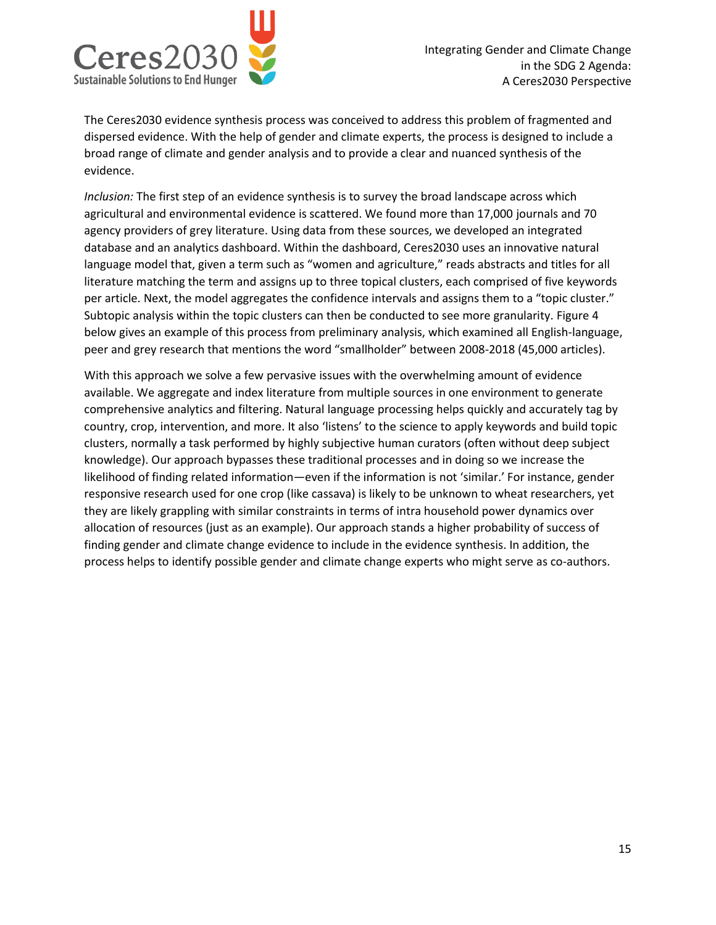

The Ceres2030 evidence synthesis process was conceived to address this problem of fragmented and dispersed evidence. With the help of gender and climate experts, the process is designed to include a broad range of climate and gender analysis and to provide a clear and nuanced synthesis of the evidence.

*Inclusion:* The first step of an evidence synthesis is to survey the broad landscape across which agricultural and environmental evidence is scattered. We found more than 17,000 journals and 70 agency providers of grey literature. Using data from these sources, we developed an integrated database and an analytics dashboard. Within the dashboard, Ceres2030 uses an innovative natural language model that, given a term such as "women and agriculture," reads abstracts and titles for all literature matching the term and assigns up to three topical clusters, each comprised of five keywords per article. Next, the model aggregates the confidence intervals and assigns them to a "topic cluster." Subtopic analysis within the topic clusters can then be conducted to see more granularity. Figure 4 below gives an example of this process from preliminary analysis, which examined all English-language, peer and grey research that mentions the word "smallholder" between 2008-2018 (45,000 articles).

With this approach we solve a few pervasive issues with the overwhelming amount of evidence available. We aggregate and index literature from multiple sources in one environment to generate comprehensive analytics and filtering. Natural language processing helps quickly and accurately tag by country, crop, intervention, and more. It also 'listens' to the science to apply keywords and build topic clusters, normally a task performed by highly subjective human curators (often without deep subject knowledge). Our approach bypasses these traditional processes and in doing so we increase the likelihood of finding related information—even if the information is not 'similar.' For instance, gender responsive research used for one crop (like cassava) is likely to be unknown to wheat researchers, yet they are likely grappling with similar constraints in terms of intra household power dynamics over allocation of resources (just as an example). Our approach stands a higher probability of success of finding gender and climate change evidence to include in the evidence synthesis. In addition, the process helps to identify possible gender and climate change experts who might serve as co-authors.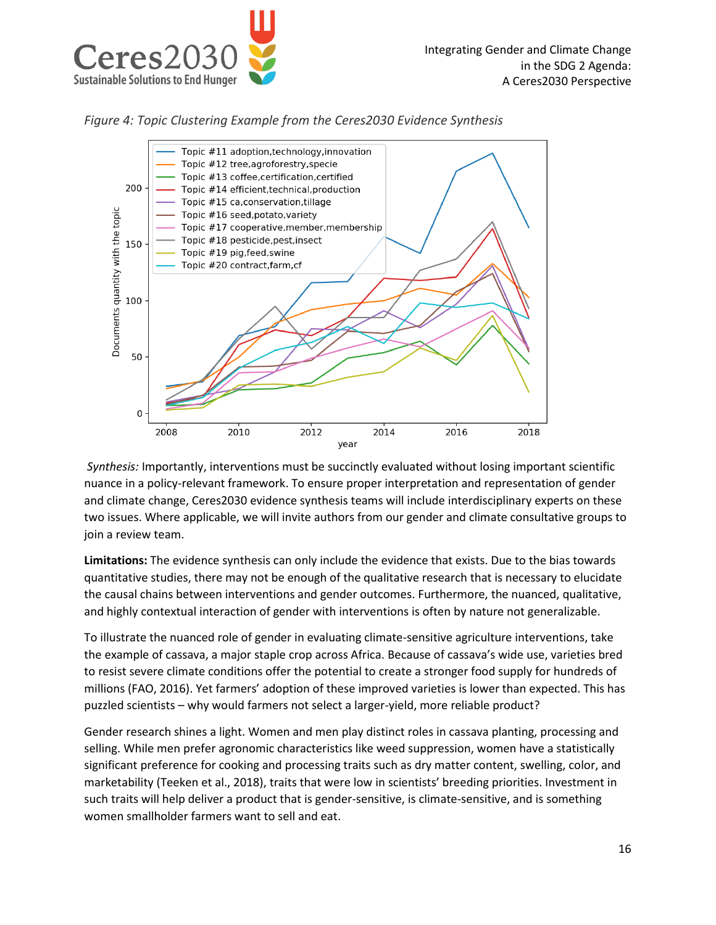

*Figure 4: Topic Clustering Example from the Ceres2030 Evidence Synthesis*



*Synthesis:* Importantly, interventions must be succinctly evaluated without losing important scientific nuance in a policy-relevant framework. To ensure proper interpretation and representation of gender and climate change, Ceres2030 evidence synthesis teams will include interdisciplinary experts on these two issues. Where applicable, we will invite authors from our gender and climate consultative groups to join a review team.

**Limitations:** The evidence synthesis can only include the evidence that exists. Due to the bias towards quantitative studies, there may not be enough of the qualitative research that is necessary to elucidate the causal chains between interventions and gender outcomes. Furthermore, the nuanced, qualitative, and highly contextual interaction of gender with interventions is often by nature not generalizable.

To illustrate the nuanced role of gender in evaluating climate-sensitive agriculture interventions, take the example of cassava, a major staple crop across Africa. Because of cassava's wide use, varieties bred to resist severe climate conditions offer the potential to create a stronger food supply for hundreds of millions (FAO, 2016). Yet farmers' adoption of these improved varieties is lower than expected. This has puzzled scientists – why would farmers not select a larger-yield, more reliable product?

Gender research shines a light. Women and men play distinct roles in cassava planting, processing and selling. While men prefer agronomic characteristics like weed suppression, women have a statistically significant preference for cooking and processing traits such as dry matter content, swelling, color, and marketability (Teeken et al., 2018), traits that were low in scientists' breeding priorities. Investment in such traits will help deliver a product that is gender-sensitive, is climate-sensitive, and is something women smallholder farmers want to sell and eat.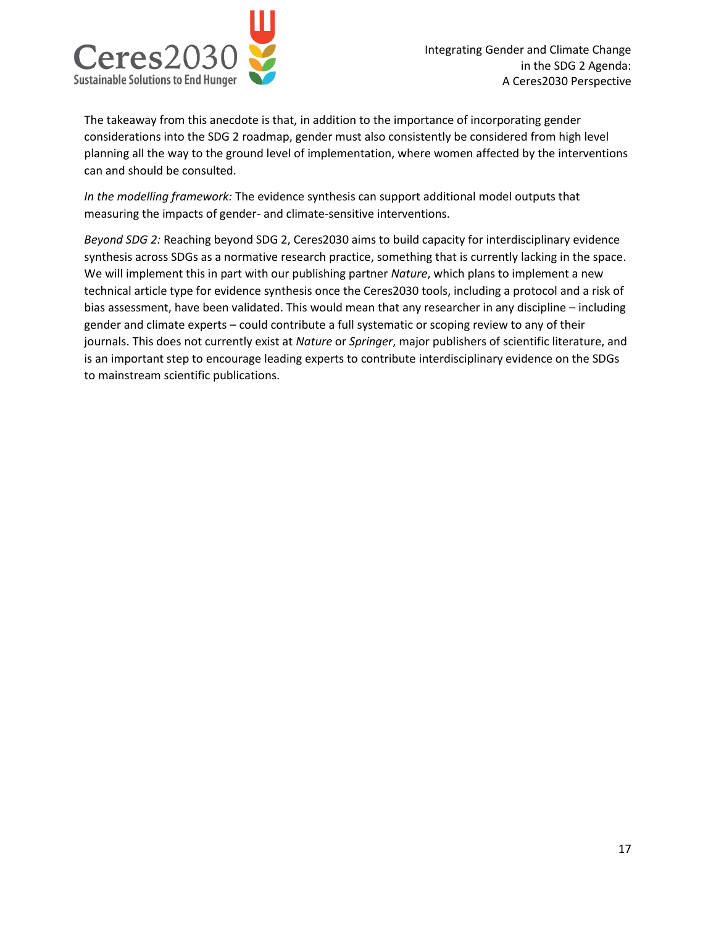

The takeaway from this anecdote is that, in addition to the importance of incorporating gender considerations into the SDG 2 roadmap, gender must also consistently be considered from high level planning all the way to the ground level of implementation, where women affected by the interventions can and should be consulted.

*In the modelling framework:* The evidence synthesis can support additional model outputs that measuring the impacts of gender- and climate-sensitive interventions.

*Beyond SDG 2:* Reaching beyond SDG 2, Ceres2030 aims to build capacity for interdisciplinary evidence synthesis across SDGs as a normative research practice, something that is currently lacking in the space. We will implement this in part with our publishing partner *Nature*, which plans to implement a new technical article type for evidence synthesis once the Ceres2030 tools, including a protocol and a risk of bias assessment, have been validated. This would mean that any researcher in any discipline – including gender and climate experts – could contribute a full systematic or scoping review to any of their journals. This does not currently exist at *Nature* or *Springer*, major publishers of scientific literature, and is an important step to encourage leading experts to contribute interdisciplinary evidence on the SDGs to mainstream scientific publications.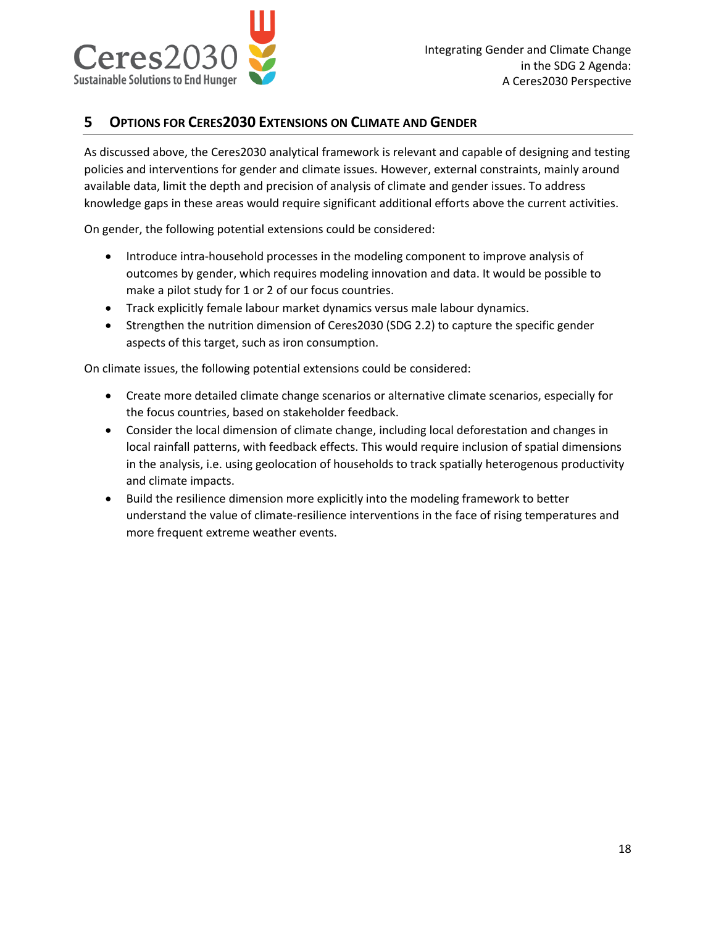

#### **5 OPTIONS FOR CERES2030 EXTENSIONS ON CLIMATE AND GENDER**

As discussed above, the Ceres2030 analytical framework is relevant and capable of designing and testing policies and interventions for gender and climate issues. However, external constraints, mainly around available data, limit the depth and precision of analysis of climate and gender issues. To address knowledge gaps in these areas would require significant additional efforts above the current activities.

On gender, the following potential extensions could be considered:

- Introduce intra-household processes in the modeling component to improve analysis of outcomes by gender, which requires modeling innovation and data. It would be possible to make a pilot study for 1 or 2 of our focus countries.
- Track explicitly female labour market dynamics versus male labour dynamics.
- Strengthen the nutrition dimension of Ceres2030 (SDG 2.2) to capture the specific gender aspects of this target, such as iron consumption.

On climate issues, the following potential extensions could be considered:

- Create more detailed climate change scenarios or alternative climate scenarios, especially for the focus countries, based on stakeholder feedback.
- Consider the local dimension of climate change, including local deforestation and changes in local rainfall patterns, with feedback effects. This would require inclusion of spatial dimensions in the analysis, i.e. using geolocation of households to track spatially heterogenous productivity and climate impacts.
- Build the resilience dimension more explicitly into the modeling framework to better understand the value of climate-resilience interventions in the face of rising temperatures and more frequent extreme weather events.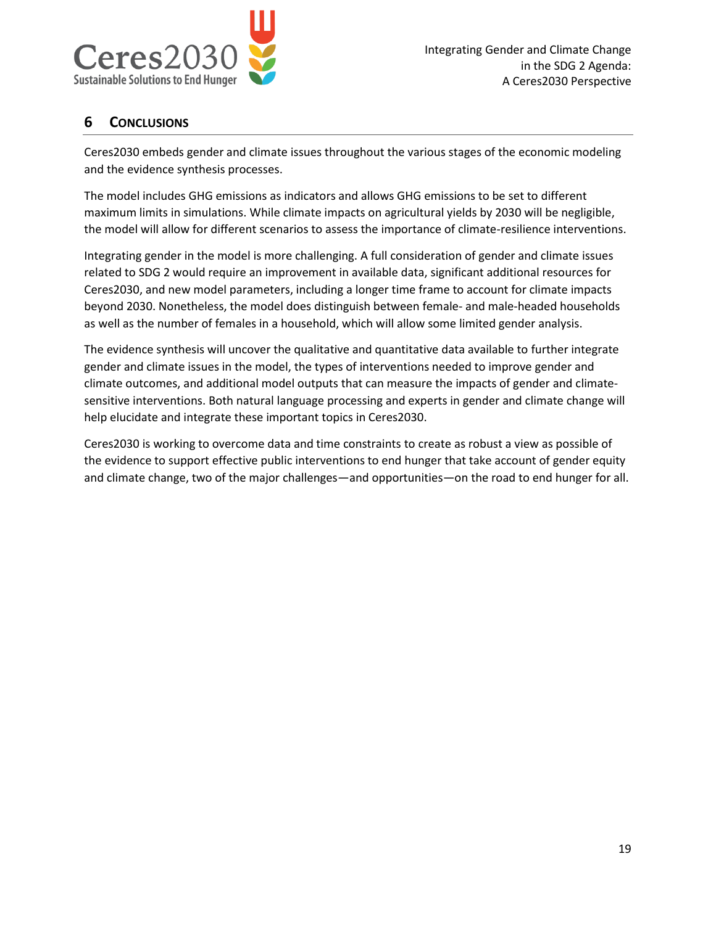

# **6 CONCLUSIONS**

Ceres2030 embeds gender and climate issues throughout the various stages of the economic modeling and the evidence synthesis processes.

The model includes GHG emissions as indicators and allows GHG emissions to be set to different maximum limits in simulations. While climate impacts on agricultural yields by 2030 will be negligible, the model will allow for different scenarios to assess the importance of climate-resilience interventions.

Integrating gender in the model is more challenging. A full consideration of gender and climate issues related to SDG 2 would require an improvement in available data, significant additional resources for Ceres2030, and new model parameters, including a longer time frame to account for climate impacts beyond 2030. Nonetheless, the model does distinguish between female- and male-headed households as well as the number of females in a household, which will allow some limited gender analysis.

The evidence synthesis will uncover the qualitative and quantitative data available to further integrate gender and climate issues in the model, the types of interventions needed to improve gender and climate outcomes, and additional model outputs that can measure the impacts of gender and climatesensitive interventions. Both natural language processing and experts in gender and climate change will help elucidate and integrate these important topics in Ceres2030.

Ceres2030 is working to overcome data and time constraints to create as robust a view as possible of the evidence to support effective public interventions to end hunger that take account of gender equity and climate change, two of the major challenges—and opportunities—on the road to end hunger for all.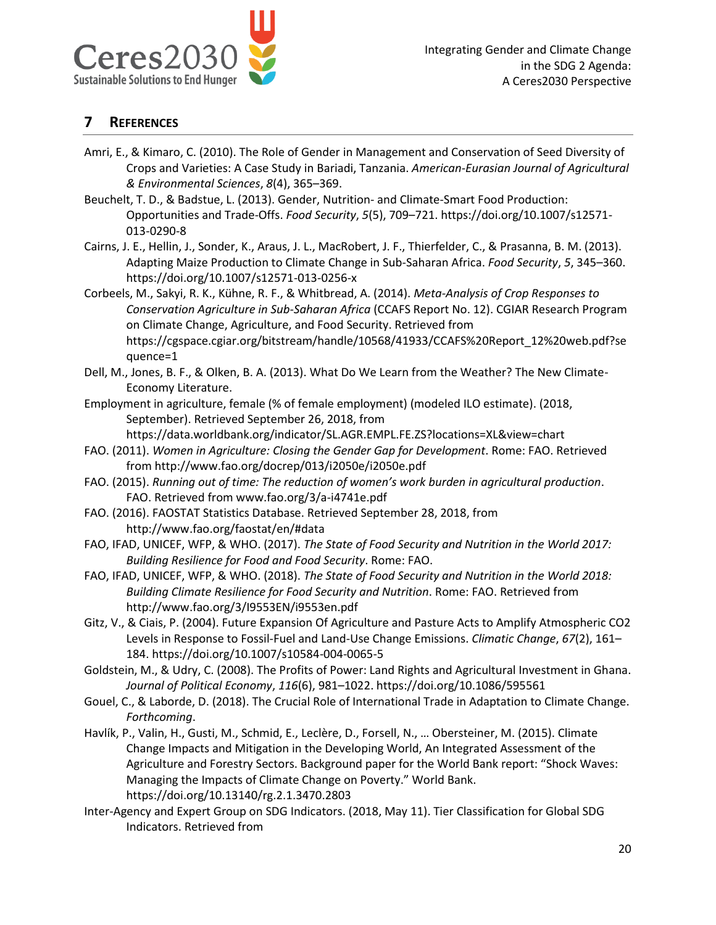

### **7 REFERENCES**

- Amri, E., & Kimaro, C. (2010). The Role of Gender in Management and Conservation of Seed Diversity of Crops and Varieties: A Case Study in Bariadi, Tanzania. *American-Eurasian Journal of Agricultural & Environmental Sciences*, *8*(4), 365–369.
- Beuchelt, T. D., & Badstue, L. (2013). Gender, Nutrition- and Climate-Smart Food Production: Opportunities and Trade-Offs. *Food Security*, *5*(5), 709–721. https://doi.org/10.1007/s12571- 013-0290-8
- Cairns, J. E., Hellin, J., Sonder, K., Araus, J. L., MacRobert, J. F., Thierfelder, C., & Prasanna, B. M. (2013). Adapting Maize Production to Climate Change in Sub-Saharan Africa. *Food Security*, *5*, 345–360. https://doi.org/10.1007/s12571-013-0256-x
- Corbeels, M., Sakyi, R. K., Kühne, R. F., & Whitbread, A. (2014). *Meta-Analysis of Crop Responses to Conservation Agriculture in Sub-Saharan Africa* (CCAFS Report No. 12). CGIAR Research Program on Climate Change, Agriculture, and Food Security. Retrieved from https://cgspace.cgiar.org/bitstream/handle/10568/41933/CCAFS%20Report\_12%20web.pdf?se quence=1
- Dell, M., Jones, B. F., & Olken, B. A. (2013). What Do We Learn from the Weather? The New Climate-Economy Literature.
- Employment in agriculture, female (% of female employment) (modeled ILO estimate). (2018, September). Retrieved September 26, 2018, from
	- https://data.worldbank.org/indicator/SL.AGR.EMPL.FE.ZS?locations=XL&view=chart
- FAO. (2011). *Women in Agriculture: Closing the Gender Gap for Development*. Rome: FAO. Retrieved from http://www.fao.org/docrep/013/i2050e/i2050e.pdf
- FAO. (2015). *Running out of time: The reduction of women's work burden in agricultural production*. FAO. Retrieved from www.fao.org/3/a-i4741e.pdf
- FAO. (2016). FAOSTAT Statistics Database. Retrieved September 28, 2018, from http://www.fao.org/faostat/en/#data
- FAO, IFAD, UNICEF, WFP, & WHO. (2017). *The State of Food Security and Nutrition in the World 2017: Building Resilience for Food and Food Security*. Rome: FAO.
- FAO, IFAD, UNICEF, WFP, & WHO. (2018). *The State of Food Security and Nutrition in the World 2018: Building Climate Resilience for Food Security and Nutrition*. Rome: FAO. Retrieved from http://www.fao.org/3/I9553EN/i9553en.pdf
- Gitz, V., & Ciais, P. (2004). Future Expansion Of Agriculture and Pasture Acts to Amplify Atmospheric CO2 Levels in Response to Fossil-Fuel and Land-Use Change Emissions. *Climatic Change*, *67*(2), 161– 184. https://doi.org/10.1007/s10584-004-0065-5
- Goldstein, M., & Udry, C. (2008). The Profits of Power: Land Rights and Agricultural Investment in Ghana. *Journal of Political Economy*, *116*(6), 981–1022. https://doi.org/10.1086/595561
- Gouel, C., & Laborde, D. (2018). The Crucial Role of International Trade in Adaptation to Climate Change. *Forthcoming*.
- Havlík, P., Valin, H., Gusti, M., Schmid, E., Leclère, D., Forsell, N., … Obersteiner, M. (2015). Climate Change Impacts and Mitigation in the Developing World, An Integrated Assessment of the Agriculture and Forestry Sectors. Background paper for the World Bank report: "Shock Waves: Managing the Impacts of Climate Change on Poverty." World Bank. https://doi.org/10.13140/rg.2.1.3470.2803
- Inter-Agency and Expert Group on SDG Indicators. (2018, May 11). Tier Classification for Global SDG Indicators. Retrieved from